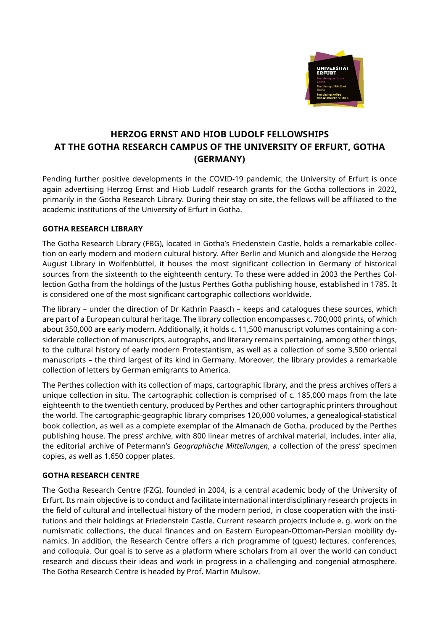

# **HERZOG ERNST AND HIOB LUDOLF FELLOWSHIPS AT THE GOTHA RESEARCH CAMPUS OF THE UNIVERSITY OF ERFURT, GOTHA (GERMANY)**

Pending further positive developments in the COVID-19 pandemic, the University of Erfurt is once again advertising Herzog Ernst and Hiob Ludolf research grants for the Gotha collections in 2022, primarily in the Gotha Research Library. During their stay on site, the fellows will be affiliated to the academic institutions of the University of Erfurt in Gotha.

### **GOTHA RESEARCH LIBRARY**

The Gotha Research Library (FBG), located in Gotha's Friedenstein Castle, holds a remarkable collection on early modern and modern cultural history. After Berlin and Munich and alongside the Herzog August Library in Wolfenbüttel, it houses the most significant collection in Germany of historical sources from the sixteenth to the eighteenth century. To these were added in 2003 the Perthes Collection Gotha from the holdings of the Justus Perthes Gotha publishing house, established in 1785. It is considered one of the most significant cartographic collections worldwide.

The library – under the direction of Dr Kathrin Paasch – keeps and catalogues these sources, which are part of a European cultural heritage. The library collection encompasses c. 700,000 prints, of which about 350,000 are early modern. Additionally, it holds c. 11,500 manuscript volumes containing a considerable collection of manuscripts, autographs, and literary remains pertaining, among other things, to the cultural history of early modern Protestantism, as well as a collection of some 3,500 oriental manuscripts – the third largest of its kind in Germany. Moreover, the library provides a remarkable collection of letters by German emigrants to America.

The Perthes collection with its collection of maps, cartographic library, and the press archives offers a unique collection in situ. The cartographic collection is comprised of c. 185,000 maps from the late eighteenth to the twentieth century, produced by Perthes and other cartographic printers throughout the world. The cartographic-geographic library comprises 120,000 volumes, a genealogical-statistical book collection, as well as a complete exemplar of the Almanach de Gotha, produced by the Perthes publishing house. The press' archive, with 800 linear metres of archival material, includes, inter alia, the editorial archive of Petermann's *Geographische Mitteilungen*, a collection of the press' specimen copies, as well as 1,650 copper plates.

#### **GOTHA RESEARCH CENTRE**

The Gotha Research Centre (FZG), founded in 2004, is a central academic body of the University of Erfurt. Its main objective is to conduct and facilitate international interdisciplinary research projects in the field of cultural and intellectual history of the modern period, in close cooperation with the institutions and their holdings at Friedenstein Castle. Current research projects include e. g. work on the numismatic collections, the ducal finances and on Eastern European-Ottoman-Persian mobility dynamics. In addition, the Research Centre offers a rich programme of (guest) lectures, conferences, and colloquia. Our goal is to serve as a platform where scholars from all over the world can conduct research and discuss their ideas and work in progress in a challenging and congenial atmosphere. The Gotha Research Centre is headed by Prof. Martin Mulsow.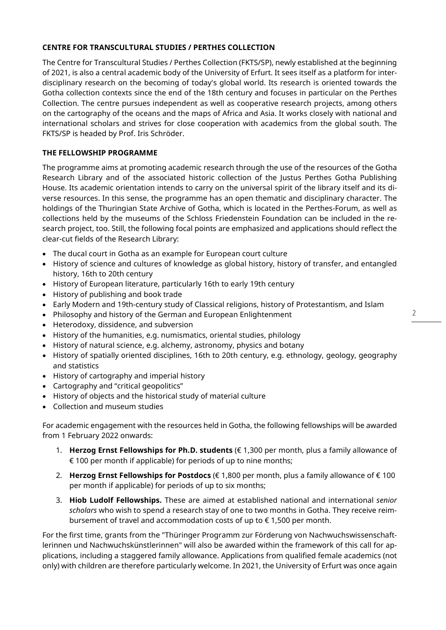# **CENTRE FOR TRANSCULTURAL STUDIES / PERTHES COLLECTION**

The Centre for Transcultural Studies / Perthes Collection (FKTS/SP), newly established at the beginning of 2021, is also a central academic body of the University of Erfurt. It sees itself as a platform for interdisciplinary research on the becoming of today's global world. Its research is oriented towards the Gotha collection contexts since the end of the 18th century and focuses in particular on the Perthes Collection. The centre pursues independent as well as cooperative research projects, among others on the cartography of the oceans and the maps of Africa and Asia. It works closely with national and international scholars and strives for close cooperation with academics from the global south. The FKTS/SP is headed by Prof. Iris Schröder.

# **THE FELLOWSHIP PROGRAMME**

The programme aims at promoting academic research through the use of the resources of the Gotha Research Library and of the associated historic collection of the Justus Perthes Gotha Publishing House. Its academic orientation intends to carry on the universal spirit of the library itself and its diverse resources. In this sense, the programme has an open thematic and disciplinary character. The holdings of the Thuringian State Archive of Gotha, which is located in the Perthes-Forum, as well as collections held by the museums of the Schloss Friedenstein Foundation can be included in the research project, too. Still, the following focal points are emphasized and applications should reflect the clear-cut fields of the Research Library:

- The ducal court in Gotha as an example for European court culture
- History of science and cultures of knowledge as global history, history of transfer, and entangled history, 16th to 20th century
- History of European literature, particularly 16th to early 19th century
- History of publishing and book trade
- Early Modern and 19th-century study of Classical religions, history of Protestantism, and Islam
- Philosophy and history of the German and European Enlightenment
- Heterodoxy, dissidence, and subversion
- History of the humanities, e.g. numismatics, oriental studies, philology
- History of natural science, e.g. alchemy, astronomy, physics and botany
- History of spatially oriented disciplines, 16th to 20th century, e.g. ethnology, geology, geography and statistics
- History of cartography and imperial history
- Cartography and "critical geopolitics"
- History of objects and the historical study of material culture
- Collection and museum studies

For academic engagement with the resources held in Gotha, the following fellowships will be awarded from 1 February 2022 onwards:

- 1. **Herzog Ernst Fellowships for Ph.D. students** (€ 1,300 per month, plus a family allowance of € 100 per month if applicable) for periods of up to nine months;
- 2. **Herzog Ernst Fellowships for Postdocs** (€ 1,800 per month, plus a family allowance of € 100 per month if applicable) for periods of up to six months;
- 3. **Hiob Ludolf Fellowships.** These are aimed at established national and international *senior scholars* who wish to spend a research stay of one to two months in Gotha. They receive reimbursement of travel and accommodation costs of up to  $\epsilon$  1,500 per month.

For the first time, grants from the "Thüringer Programm zur Förderung von Nachwuchswissenschaftlerinnen und Nachwuchskünstlerinnen" will also be awarded within the framework of this call for applications, including a staggered family allowance. Applications from qualified female academics (not only) with children are therefore particularly welcome. In 2021, the University of Erfurt was once again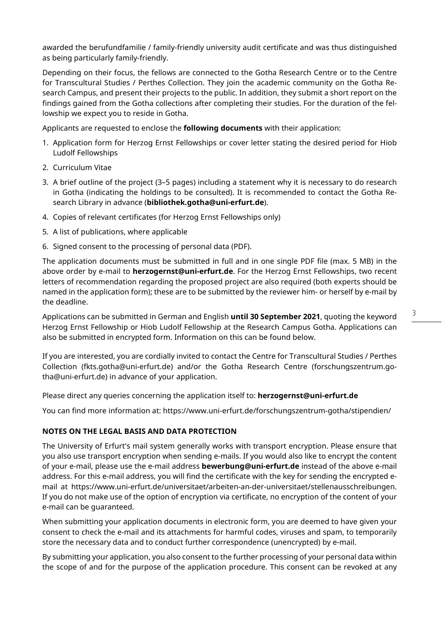awarded the berufundfamilie / family-friendly university audit certificate and was thus distinguished as being particularly family-friendly.

Depending on their focus, the fellows are connected to the Gotha Research Centre or to the Centre for Transcultural Studies / Perthes Collection. They join the academic community on the Gotha Research Campus, and present their projects to the public. In addition, they submit a short report on the findings gained from the Gotha collections after completing their studies. For the duration of the fellowship we expect you to reside in Gotha.

Applicants are requested to enclose the **following documents** with their application:

- 1. Application form for Herzog Ernst Fellowships or cover letter stating the desired period for Hiob Ludolf Fellowships
- 2. Curriculum Vitae
- 3. A brief outline of the project (3–5 pages) including a statement why it is necessary to do research in Gotha (indicating the holdings to be consulted). It is recommended to contact the Gotha Research Library in advance (**bibliothek.gotha@uni-erfurt.de**).
- 4. Copies of relevant certificates (for Herzog Ernst Fellowships only)
- 5. A list of publications, where applicable
- 6. Signed consent to the processing of personal data (PDF).

The application documents must be submitted in full and in one single PDF file (max. 5 MB) in the above order by e-mail to **herzogernst@uni-erfurt.de**. For the Herzog Ernst Fellowships, two recent letters of recommendation regarding the proposed project are also required (both experts should be named in the application form); these are to be submitted by the reviewer him- or herself by e-mail by the deadline.

Applications can be submitted in German and English **until 30 September 2021**, quoting the keyword Herzog Ernst Fellowship or Hiob Ludolf Fellowship at the Research Campus Gotha. Applications can also be submitted in encrypted form. Information on this can be found below.

If you are interested, you are cordially invited to contact the Centre for Transcultural Studies / Perthes Collection (fkts.gotha@uni-erfurt.de) and/or the Gotha Research Centre (forschungszentrum.gotha@uni-erfurt.de) in advance of your application.

Please direct any queries concerning the application itself to: **herzogernst@uni-erfurt.de**

You can find more information at: https://www.uni-erfurt.de/forschungszentrum-gotha/stipendien/

#### **NOTES ON THE LEGAL BASIS AND DATA PROTECTION**

The University of Erfurt's mail system generally works with transport encryption. Please ensure that you also use transport encryption when sending e-mails. If you would also like to encrypt the content of your e-mail, please use the e-mail address **bewerbung@uni-erfurt.de** instead of the above e-mail address. For this e-mail address, you will find the certificate with the key for sending the encrypted email at https://www.uni-erfurt.de/universitaet/arbeiten-an-der-universitaet/stellenausschreibungen. If you do not make use of the option of encryption via certificate, no encryption of the content of your e-mail can be guaranteed.

When submitting your application documents in electronic form, you are deemed to have given your consent to check the e-mail and its attachments for harmful codes, viruses and spam, to temporarily store the necessary data and to conduct further correspondence (unencrypted) by e-mail.

By submitting your application, you also consent to the further processing of your personal data within the scope of and for the purpose of the application procedure. This consent can be revoked at any